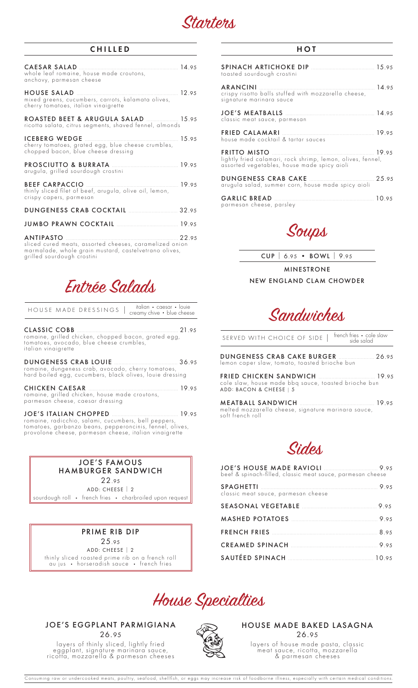

## CHILLED

| 14.95<br>CAESAR SALAD<br>whole leaf romaine, house made croutons,<br>anchovy, parmesan cheese                                                                      |      |
|--------------------------------------------------------------------------------------------------------------------------------------------------------------------|------|
| HOUSE SALAD<br>mixed greens, cucumbers, carrots, kalamata olives,<br>cherry tomatoes, italian vinaigrette                                                          |      |
| ROASTED BEET & ARUGULA SALAD  15.95<br>ricotta salata, citrus segments, shaved fennel, almonds                                                                     |      |
| <b>ICEBERG WEDGE</b><br>15.95<br>cherry tomatoes, grated egg, blue cheese crumbles,<br>chopped bacon, blue cheese dressing                                         |      |
| arugula, grilled sourdough crostini                                                                                                                                |      |
| 19.95<br><b>BEEF CARPACCIO</b><br>thinly sliced filet of beef, arugula, olive oil, lemon,<br>crispy capers, parmesan                                               |      |
| DUNGENESS CRAB COCKTAIL <b>Manual Strategy</b> 32.95                                                                                                               |      |
|                                                                                                                                                                    |      |
| <b>ANTIPASTO</b><br>sliced cured meats, assorted cheeses, caramelized onion<br>marmalade, whole grain mustard, castelvetrano olives,<br>grilled sourdough crostini | 2295 |

Entrée Salads

| HOUSE MADE DRESSINGS | italian • caesar • Iouie<br>I creamy chive • blue cheese |
|----------------------|----------------------------------------------------------|
|----------------------|----------------------------------------------------------|

CLASSIC COBB ...................................................................... 21.95 romaine, grilled chicken, chopped bacon, grated egg, tomatoes, avocado, blue cheese crumbles, italian vinaigrette

DUNGENESS CRAB LOUIE ............................................ 36.95 romaine, dungeness crab, avocado, cherry tomatoes, hard boiled egg, cucumbers, black olives, louie dressing

CHICKEN CAESAR .............................................................. 19.95 romaine, grilled chicken, house made croutons, parmesan cheese, caesar dressing

JOE'S ITALIAN CHOPPED .............................................. 19.95 romaine, radicchio, salami, cucumbers, bell peppers, tomatoes, garbanzo beans, pepperoncinis, fennel, olives, provolone cheese, parmesan cheese, italian vinaigrette

#### JOE'S FAMOUS HAMBURGER SANDWICH

22.95 ADD: CHEESE | 2 sourdough roll • french fries • charbroiled upon request

PRIME RIB DIP 25.95 ADD: CHEESE | 2 thinly sliced roasted prime rib on a french roll au jus • horseradish sauce • french fries

### JOE'S EGGPLANT PARMIGIANA 26.95

layers of thinly sliced, lightly fried eggplant, signature marinara sauce, ricotta, mozzarella & parmesan cheeses



| SPINACH ARTICHOKE DIP <b>MARKED 15.95</b> 15.95<br>toasted sourdough crostini                                                                                                                      |  |
|----------------------------------------------------------------------------------------------------------------------------------------------------------------------------------------------------|--|
| ARANCINI 2008 2010 2010 21:00 21:00 21:00 21:00 21:00 21:00 21:00 21:00 21:00 22:00 22:00 22:00 22:00 22:00 22<br>crispy risotto balls stuffed with mozzarella cheese,<br>signature marinara sauce |  |
| classic meat sauce, parmesan                                                                                                                                                                       |  |
| house made cocktail & tartar sauces                                                                                                                                                                |  |
| lightly fried calamari, rock shrimp, lemon, olives, fennel,<br>assorted vegetables, house made spicy aioli                                                                                         |  |
| arugula salad, summer corn, house made spicy aioli                                                                                                                                                 |  |
| parmesan cheese, parsley                                                                                                                                                                           |  |

Soups

CUP | 6.95 • BOWL | 9.95

MINESTRONE NEW ENGLAND CLAM CHOWDER

Sandwiches

| SERVED WITH CHOICE OF SIDE   french fries • cole slaw<br>side salad                             |  |
|-------------------------------------------------------------------------------------------------|--|
| <b>DUNGENESS CRAB CAKE BURGER</b> [1995] 26.95<br>lemon caper slaw, tomato, toasted brioche bun |  |
| cole slaw, house made bbq sauce, toasted brioche bun<br>ADD: BACON & CHEESE   5                 |  |
| melted mozzarella cheese, signature marinara sauce,                                             |  |



| beef & spinach-filled, classic meat sauce, parmesan cheese |  |
|------------------------------------------------------------|--|
| classic meat sauce, parmesan cheese                        |  |
|                                                            |  |
| MASHED POTATOES 9.95                                       |  |
|                                                            |  |
| CREAMED SPINACH 9.95                                       |  |
|                                                            |  |



soft french roll

HOUSE MADE BAKED LASAGNA 26.95

layers of house made pasta, classic meat sauce, ricotta, mozzarella & parmesan cheeses

Consuming raw or undercooked meats, poultry, seafood, shellfish, or eggs may increase risk of foodborne illness, especially with certain medical conditions.